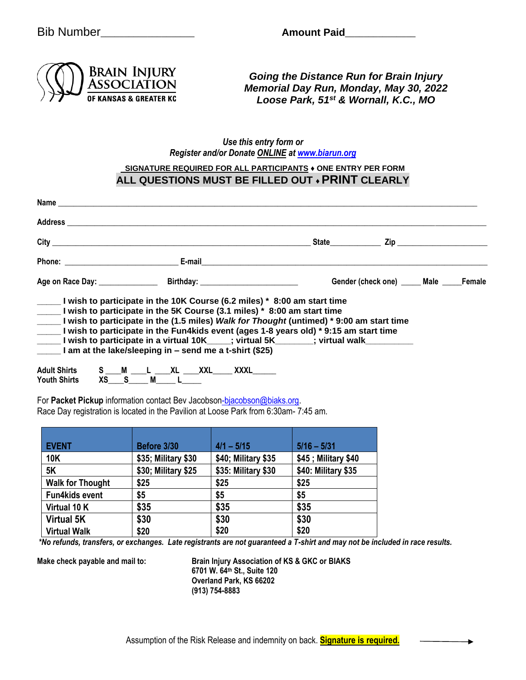Bib Number **Amount Paid** 



*Going the Distance Run for Brain Injury Memorial Day Run, Monday, May 30, 2022 Loose Park, 51st & Wornall, K.C., MO*

## *Use this entry form or Register and/or Donate ONLINE at [www.biarun.org](http://www.biarun.org/)*

## **SIGNATURE REQUIRED FOR ALL PARTICIPANTS ♦ ONE ENTRY PER FORM ALL QUESTIONS MUST BE FILLED OUT ♦ PRINT CLEARLY**

|                                                                                                                                                  |          | Age on Race Day: Birthday: |                                                                                                                                                                                                                                                                                                                                                                                                                                          | Gender (check one) _____ Male _____ Female |  |
|--------------------------------------------------------------------------------------------------------------------------------------------------|----------|----------------------------|------------------------------------------------------------------------------------------------------------------------------------------------------------------------------------------------------------------------------------------------------------------------------------------------------------------------------------------------------------------------------------------------------------------------------------------|--------------------------------------------|--|
| I am at the lake/sleeping in $-$ send me a t-shirt (\$25)<br>Adult Shirts S ___ M ____ L ____ XL ____ XXL_____ XXXL______<br><b>Youth Shirts</b> | XS S M L |                            | I wish to participate in the 10K Course (6.2 miles) * 8:00 am start time<br>I wish to participate in the 5K Course (3.1 miles) * 8:00 am start time<br>I wish to participate in the (1.5 miles) Walk for Thought (untimed) * 9:00 am start time<br>I wish to participate in the Fun4kids event (ages 1-8 years old) * 9:15 am start time<br>______I wish to participate in a virtual 10K_____; virtual 5K________; virtual walk_________ |                                            |  |

For Packet Pickup information contact Be[v Jacobson-bjacobson@biaks.org.](mailto:Jacobson-bjacobson@biaks.org) Race Day registration is located in the Pavilion at Loose Park from 6:30am- 7:45 am.

| <b>EVENT</b>            | Before 3/30         | $4/1 - 5/15$        | $5/16 - 5/31$       |
|-------------------------|---------------------|---------------------|---------------------|
| <b>10K</b>              | \$35; Military \$30 | \$40; Military \$35 | \$45; Military \$40 |
| <b>5K</b>               | \$30; Military \$25 | \$35: Military \$30 | \$40: Military \$35 |
| <b>Walk for Thought</b> | \$25                | \$25                | \$25                |
| <b>Fun4kids event</b>   | \$5                 | \$5                 | \$5                 |
| Virtual 10 K            | \$35                | \$35                | \$35                |
| <b>Virtual 5K</b>       | \$30                | \$30                | \$30                |
| <b>Virtual Walk</b>     | \$20                | \$20                | \$20                |

*\*No refunds, transfers, or exchanges. Late registrants are not guaranteed a T-shirt and may not be included in race results.*

**Make check payable and mail to: Brain Injury Association of KS & GKC or BIAKS 6701 W. 64th St., Suite 120 Overland Park, KS 66202 (913) 754-8883**